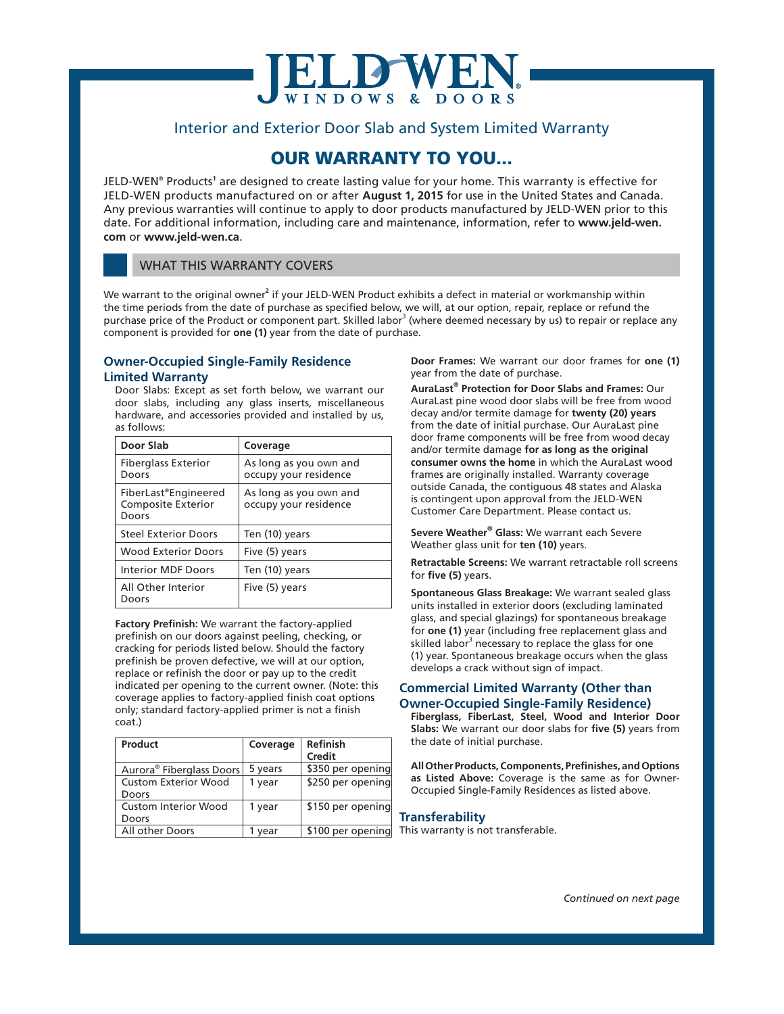# **DWE**

### Interior and Exterior Door Slab and System Limited Warranty

## OUR WARRANTY TO YOU...

JELD-WEN® Products**<sup>1</sup>** are designed to create lasting value for your home. This warranty is effective for JELD-WEN products manufactured on or after **August 1, 2015** for use in the United States and Canada. Any previous warranties will continue to apply to door products manufactured by JELD-WEN prior to this date. For additional information, including care and maintenance, information, refer to **www.jeld-wen. com** or **www.jeld-wen.ca**.

#### WHAT THIS WARRANTY COVERS

We warrant to the original owner<sup>2</sup> if your JELD-WEN Product exhibits a defect in material or workmanship within the time periods from the date of purchase as specified below, we will, at our option, repair, replace or refund the purchase price of the Product or component part. Skilled labor<sup>3</sup> (where deemed necessary by us) to repair or replace any component is provided for **one (1)** year from the date of purchase.

#### **Owner-Occupied Single-Family Residence Limited Warranty**

Door Slabs: Except as set forth below, we warrant our door slabs, including any glass inserts, miscellaneous hardware, and accessories provided and installed by us, as follows:

| Door Slab                                                  | Coverage                                        |
|------------------------------------------------------------|-------------------------------------------------|
| <b>Fiberglass Exterior</b><br>Doors                        | As long as you own and<br>occupy your residence |
| FiberLast®Engineered<br><b>Composite Exterior</b><br>Doors | As long as you own and<br>occupy your residence |
| <b>Steel Exterior Doors</b>                                | Ten (10) years                                  |
| <b>Wood Exterior Doors</b>                                 | Five (5) years                                  |
| <b>Interior MDF Doors</b>                                  | Ten (10) years                                  |
| All Other Interior<br>Doors                                | Five (5) years                                  |

**Factory Prefinish:** We warrant the factory-applied prefinish on our doors against peeling, checking, or cracking for periods listed below. Should the factory prefinish be proven defective, we will at our option, replace or refinish the door or pay up to the credit indicated per opening to the current owner. (Note: this coverage applies to factory-applied finish coat options only; standard factory-applied primer is not a finish coat.)

| Product                              | Coverage | <b>Refinish</b><br>Credit |
|--------------------------------------|----------|---------------------------|
| Aurora <sup>®</sup> Fiberglass Doors | 5 years  | \$350 per opening         |
| <b>Custom Exterior Wood</b>          | 1 year   | \$250 per opening         |
| Doors                                |          |                           |
| <b>Custom Interior Wood</b>          | 1 year   | \$150 per opening         |
| Doors                                |          |                           |
| All other Doors                      | vear     | \$100 per opening         |

**Door Frames:** We warrant our door frames for **one (1)** year from the date of purchase.

**AuraLast® Protection for Door Slabs and Frames:** Our AuraLast pine wood door slabs will be free from wood decay and/or termite damage for **twenty (20) years** from the date of initial purchase. Our AuraLast pine door frame components will be free from wood decay and/or termite damage **for as long as the original consumer owns the home** in which the AuraLast wood frames are originally installed. Warranty coverage outside Canada, the contiguous 48 states and Alaska is contingent upon approval from the JELD-WEN Customer Care Department. Please contact us.

**Severe Weather® Glass:** We warrant each Severe Weather glass unit for **ten (10)** years.

**Retractable Screens:** We warrant retractable roll screens for **five (5)** years.

**Spontaneous Glass Breakage:** We warrant sealed glass units installed in exterior doors (excluding laminated glass, and special glazings) for spontaneous breakage for **one (1)** year (including free replacement glass and skilled labor<sup>3</sup> necessary to replace the glass for one (1) year. Spontaneous breakage occurs when the glass develops a crack without sign of impact.

#### **Commercial Limited Warranty (Other than Owner-Occupied Single-Family Residence)**

**Fiberglass, FiberLast, Steel, Wood and Interior Door Slabs:** We warrant our door slabs for **five (5)** years from the date of initial purchase.

**All Other Products, Components, Prefinishes, and Options as Listed Above:** Coverage is the same as for Owner-Occupied Single-Family Residences as listed above.

#### **Transferability**

This warranty is not transferable.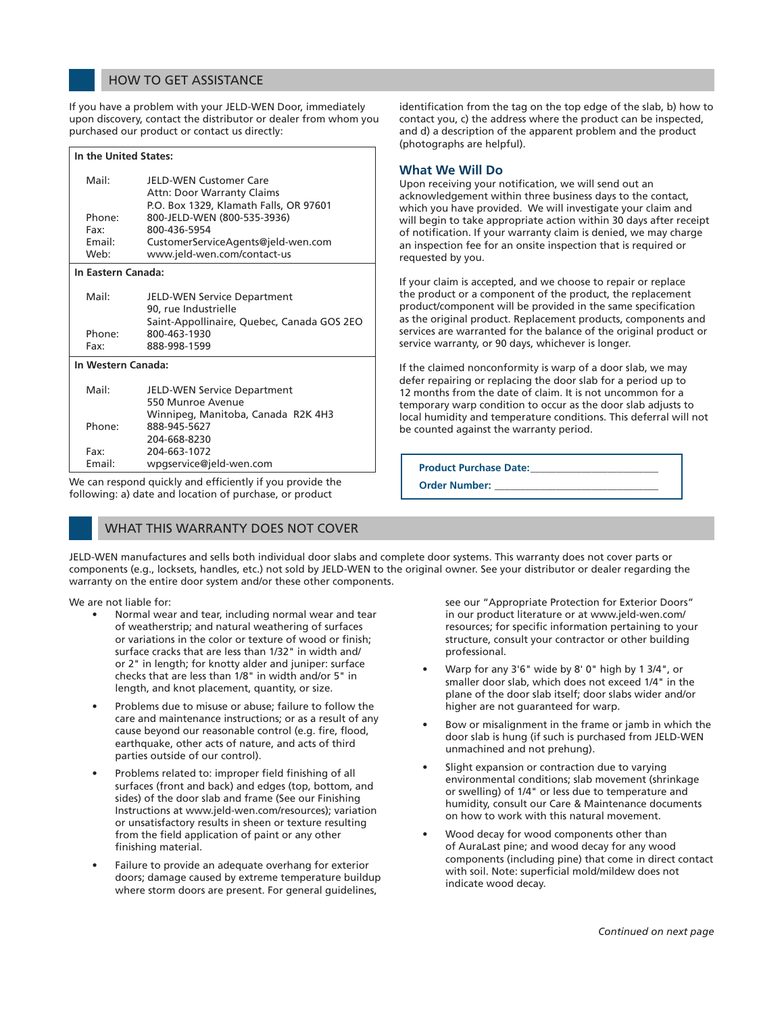#### HOW TO GET ASSISTANCE

If you have a problem with your JELD-WEN Door, immediately upon discovery, contact the distributor or dealer from whom you purchased our product or contact us directly:

| In the United States: |                                                                                                              |  |
|-----------------------|--------------------------------------------------------------------------------------------------------------|--|
| Mail:                 | <b>JFLD-WEN Customer Care</b><br><b>Attn: Door Warranty Claims</b><br>P.O. Box 1329, Klamath Falls, OR 97601 |  |
| Phone:<br>Fax:        | 800-JELD-WEN (800-535-3936)<br>800-436-5954                                                                  |  |
| Email:<br>Web:        | CustomerServiceAgents@jeld-wen.com<br>www.jeld-wen.com/contact-us                                            |  |
| In Eastern Canada:    |                                                                                                              |  |
| Mail:                 | <b>JELD-WEN Service Department</b><br>90, rue Industrielle<br>Saint-Appollinaire, Quebec, Canada GOS 2EO     |  |
| Phone:<br>Fax:        | 800-463-1930<br>888-998-1599                                                                                 |  |
| In Western Canada:    |                                                                                                              |  |
| Mail:                 | <b>JELD-WEN Service Department</b><br>550 Munroe Avenue<br>Winnipeg, Manitoba, Canada R2K 4H3                |  |
| Phone:                | 888-945-5627<br>204-668-8230                                                                                 |  |
| Fax:<br>Email:        | 204-663-1072<br>wpgservice@jeld-wen.com                                                                      |  |

We can respond quickly and efficiently if you provide the following: a) date and location of purchase, or product

#### WHAT THIS WARRANTY DOES NOT COVER

identification from the tag on the top edge of the slab, b) how to contact you, c) the address where the product can be inspected, and d) a description of the apparent problem and the product (photographs are helpful).

#### **What We Will Do**

Upon receiving your notification, we will send out an acknowledgement within three business days to the contact, which you have provided. We will investigate your claim and will begin to take appropriate action within 30 days after receipt of notification. If your warranty claim is denied, we may charge an inspection fee for an onsite inspection that is required or requested by you.

If your claim is accepted, and we choose to repair or replace the product or a component of the product, the replacement product/component will be provided in the same specification as the original product. Replacement products, components and services are warranted for the balance of the original product or service warranty, or 90 days, whichever is longer.

If the claimed nonconformity is warp of a door slab, we may defer repairing or replacing the door slab for a period up to 12 months from the date of claim. It is not uncommon for a temporary warp condition to occur as the door slab adjusts to local humidity and temperature conditions. This deferral will not be counted against the warranty period.

**Product Purchase Date:**\_\_\_\_\_\_\_\_\_\_\_\_\_\_\_\_\_\_\_\_\_\_\_\_\_

**Order Number:** 

JELD-WEN manufactures and sells both individual door slabs and complete door systems. This warranty does not cover parts or components (e.g., locksets, handles, etc.) not sold by JELD-WEN to the original owner. See your distributor or dealer regarding the warranty on the entire door system and/or these other components.

We are not liable for:

- Normal wear and tear, including normal wear and tear of weatherstrip; and natural weathering of surfaces or variations in the color or texture of wood or finish; surface cracks that are less than 1/32" in width and/ or 2" in length; for knotty alder and juniper: surface checks that are less than 1/8" in width and/or 5" in length, and knot placement, quantity, or size.
- Problems due to misuse or abuse; failure to follow the care and maintenance instructions; or as a result of any cause beyond our reasonable control (e.g. fire, flood, earthquake, other acts of nature, and acts of third parties outside of our control).
- Problems related to: improper field finishing of all surfaces (front and back) and edges (top, bottom, and sides) of the door slab and frame (See our Finishing Instructions at www.jeld-wen.com/resources); variation or unsatisfactory results in sheen or texture resulting from the field application of paint or any other finishing material.
- Failure to provide an adequate overhang for exterior doors; damage caused by extreme temperature buildup where storm doors are present. For general guidelines,

see our "Appropriate Protection for Exterior Doors" in our product literature or at www.jeld-wen.com/ resources; for specific information pertaining to your structure, consult your contractor or other building professional.

- Warp for any 3'6" wide by 8' 0" high by 1 3/4", or smaller door slab, which does not exceed 1/4" in the plane of the door slab itself; door slabs wider and/or higher are not guaranteed for warp.
- Bow or misalignment in the frame or jamb in which the door slab is hung (if such is purchased from JELD-WEN unmachined and not prehung).
- Slight expansion or contraction due to varying environmental conditions; slab movement (shrinkage or swelling) of 1/4" or less due to temperature and humidity, consult our Care & Maintenance documents on how to work with this natural movement.
- Wood decay for wood components other than of AuraLast pine; and wood decay for any wood components (including pine) that come in direct contact with soil. Note: superficial mold/mildew does not indicate wood decay.